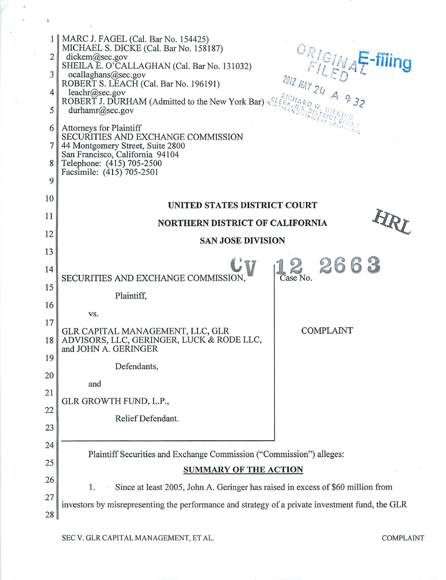| 2<br>3<br>4<br>5 | 1    MARC J. FAGEL (Cal. Bar No. 154425)<br>MICHAEL S. DICKE (Cal. Bar No. 158187)<br>dickem@sec.gov<br>SHEILA E. O'CALLAGHAN (Cal. Bar No. 131032)<br>ocallaghans@sec.gov<br>2012 HAY 24 A 9:32<br>ROBERT S. LEACH (Cal. Bar No. 196191)<br>leachr@sec.gov<br>ROBERT J. DURHAM (Admitted to the New York Bar) $\sqrt{\frac{C}{c}}$<br>durhamr@sec.gov | ORIGINAE-filing           |  |
|------------------|--------------------------------------------------------------------------------------------------------------------------------------------------------------------------------------------------------------------------------------------------------------------------------------------------------------------------------------------------------|---------------------------|--|
| 6                | Attorneys for Plaintiff<br>SECURITIES AND EXCHANGE COMMISSION                                                                                                                                                                                                                                                                                          |                           |  |
| 7                | 44 Montgomery Street, Suite 2800<br>San Francisco, California 94104                                                                                                                                                                                                                                                                                    |                           |  |
| 8                | Telephone: (415) 705-2500                                                                                                                                                                                                                                                                                                                              | Facsimile: (415) 705-2501 |  |
| 9                |                                                                                                                                                                                                                                                                                                                                                        |                           |  |
| 10               | UNITED STATES DISTRICT COURT                                                                                                                                                                                                                                                                                                                           |                           |  |
| 11               | NORTHERN DISTRICT OF CALIFORNIA                                                                                                                                                                                                                                                                                                                        |                           |  |
| 12               | <b>SAN JOSE DIVISION</b>                                                                                                                                                                                                                                                                                                                               |                           |  |
| 13               |                                                                                                                                                                                                                                                                                                                                                        |                           |  |
| 14               | Case No.<br>SECURITIES AND EXCHANGE COMMISSION,                                                                                                                                                                                                                                                                                                        | 2663                      |  |
| 15               | Plaintiff,                                                                                                                                                                                                                                                                                                                                             |                           |  |
| 16               |                                                                                                                                                                                                                                                                                                                                                        |                           |  |
| 17               | VS.<br><b>COMPLAINT</b>                                                                                                                                                                                                                                                                                                                                |                           |  |
| 18               | GLR CAPITAL MANAGEMENT, LLC, GLR<br>ADVISORS, LLC, GERINGER, LUCK & RODE LLC,<br>and JOHN A. GERINGER                                                                                                                                                                                                                                                  |                           |  |
| 19               | Defendants,                                                                                                                                                                                                                                                                                                                                            |                           |  |
| 20               | and                                                                                                                                                                                                                                                                                                                                                    |                           |  |
| 21               | GLR GROWTH FUND, L.P.,                                                                                                                                                                                                                                                                                                                                 |                           |  |
| 22               | Relief Defendant.                                                                                                                                                                                                                                                                                                                                      |                           |  |
| 23               |                                                                                                                                                                                                                                                                                                                                                        |                           |  |
| 24               | Plaintiff Securities and Exchange Commission ("Commission") alleges:                                                                                                                                                                                                                                                                                   |                           |  |
| 25               | <b>SUMMARY OF THE ACTION</b>                                                                                                                                                                                                                                                                                                                           |                           |  |
| 26               | 1.<br>Since at least 2005, John A. Geringer has raised in excess of \$60 million from                                                                                                                                                                                                                                                                  |                           |  |
| 27               | investors by misrepresenting the performance and strategy of a private investment fund, the GLR                                                                                                                                                                                                                                                        |                           |  |
| 28               |                                                                                                                                                                                                                                                                                                                                                        |                           |  |

SEC V. GLR CAPITAL MANAGEMENT, ET AL. COMPLAINT

 $\frac{1}{\mu}$  $\bar{\nu}$ 

 $\theta_{\rm c}$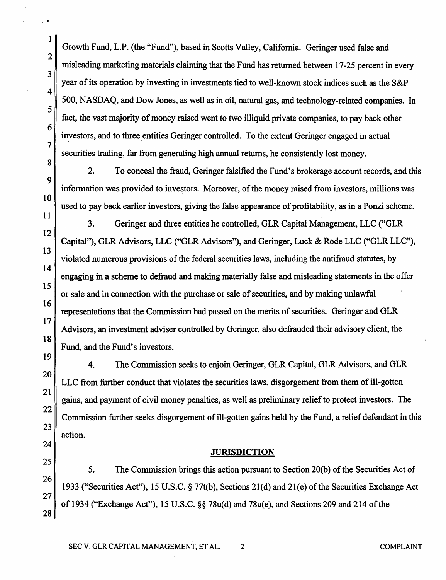Growth Fund, L.P . (the "Fund"), based in Scotts Valley, California Geringer used false and misleading marketing materials claiming that the Fund has returned between 17-25 percent in every year of its operation by investing in investments tied to well-known stock indices such as the S&P 500, NASDAQ, and Dow Jones, as well as in oil, natural gas, and technology-related companies. In fact, the vast majority of money raised went to two illiquid private companies, to pay back other investors, and to three entities Geringer controlled. To the extent Geringer engaged in actual securities trading, far from generating high annual returns, he consistently lost money.

2. To conceal the fraud, Geringer falsified the Fund's brokerage account records, and this information was provided to investors. Moreover, of the money raised from investors, millions was used to pay back earlier investors, giving the false appearance of profitability, as in a Ponzi scheme.

3. Geringer and three entities he controlled, GLR Capital Management, LLC ("GLR Capital"), GLR Advisors, LLC ("GLR Advisors"), and Geringer, Luck & Rode LLC ("GLR LLC"), violated numerous provisions of the federal securities laws, including the antifraud statutes, by engaging in a scheme to defraud and making materially false and misleading statements in the offer or sale and in connection with the purchase or sale of securities, and by making unlawful representations that the Commission had passed on the merits of securities. Geringer and GLR Advisors, an investment adviser controlled by Geringer, also defrauded their advisory client, the Fund, and the Fund's investors.

4. The Commission seeks to enjoin Geringer, GLR Capital, GLR Advisors, and GLR LLC from further conduct that violates the securities laws, disgorgement from them of ill-gotten gains, and payment of civil money penalties, as well as preliminary relief to protect investors. The Commission further seeks disgorgement of ill-gotten gains held by the Fund, a relief defendant in this action.

# **JURISDICTION**

5. The Commission brings this action pursuant to Section 20(b) of the Securities Act of 1933 ("Securities Act"), 15 U.S.C. § 77t(b), Sections 21(d) and 21(e) ofthe Securities Exchange Act of 1934 ("Exchange Act"), 15 U.S.C. §§ 78u(d) and 78u(e), and Sections 209 and 214 ofthe

1

2

3

4

5

6

7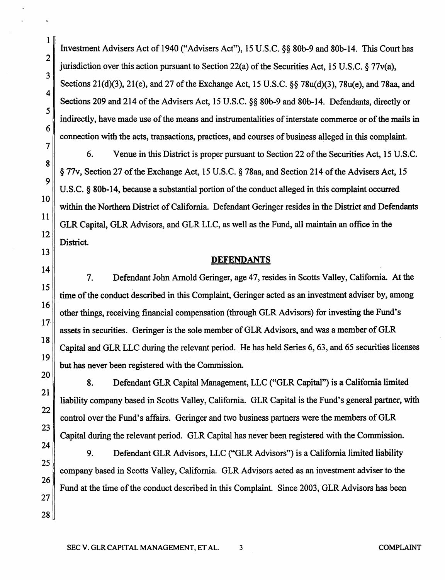Investment Advisers Act of 1940 ("Advisers Act"), 15 U.S.C. §§ SOb-9 and 80b-14. This Court has jurisdiction over this action pursuant to Section 22(a) of the Securities Act, 15 U.S.C.  $\delta$  77 $v$ (a), Sections 21(d)(3), 21(e), and 27 of the Exchange Act, 15 U.S.C. §§ 78u(d)(3), 78u(e), and 78aa, and Sections 209 and 214 of the Advisers Act, 15 U.S.C. §§ 80b-9 and 80b-14. Defendants, directly or indirectly, have made use of the means and instrumentalities of interstate commerce or of the mails in connection with the acts, transactions, practices, and courses of business alleged in this complaint.

6. Venue in this District is proper pursuant to Section 22 of the Securities Act, 15 U.S.C. § 77v, Section 27 of the Exchange Act, 15 U.S.C. § 78aa, and Section 214 of the Advisers Act, 15 U.S.C. § 80b-14, because a substantial portion of the conduct alleged in this complaint occurred within the Northern District of California. Defendant Geringer resides in the District and Defendants GLR Capital, GLR Advisors, and GLR LLC, as well as the Fund, all maintain an office in the District.

#### DEFENDANTS

7. Defendant John Arnold Geringer, age 47, resides in Scotts Valley, California. At the time of the conduct described in this Complaint, Geringer acted as an investment adviser by, among other things, receiving financial compensation (through GLR Advisors) for investing the Fund's assets in securities. Geringer is the sole member of GLR Advisors, and was a member of GLR Capital and GLR LLC during the relevant period. He has held Series 6,63, and 65 securities licenses but has never been registered with the Commission.

8. Defendant GLR Capital Management, LLC ("GLR Capital") is a California limited liability company based in Scotts Valley, California. GLR Capital is the Fund's general partner, with control over the Fund's affairs. Geringer and two business partners were the members of GLR Capital during the relevant period. GLR Capital has never been registered with the Commission.

9. Defendant GLR Advisors, LLC ("GLR Advisors") is a California limited liability company based in Scotts Valley, California. GLR Advisors acted as an investment adviser to the Fund at the time of the conduct described in this Complaint. Since 2003, GLR Advisors has been

1

2

3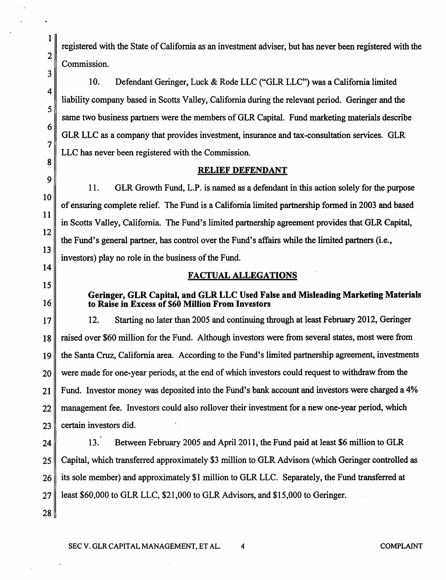registered with the State of California as an investment adviser, but has never been registered with the Commission.

10. Defendant Geringer, Luck & Rode LLC ("GLR LLC") was a California limited liability company based in Scotts Valley, California during the relevant period. Geringer and the same two business partners were the members of GLR Capital. Fund marketing materials describe GLR LLC as a company that provides investment, insurance and tax-consultation services. GLR LLC has never been registered with the Commission.

#### RELIEF DEFENDANT

11. GLR Growth Fund, L.P. is named as a defendant in this action solely for the purpose of ensuring complete relief. The Fund is a California limited partnership formed in 2003 and based in Scotts Valley, California. The Fund's limited partnership agreement provides that GLR Capital, the Fund's general partner, has control over the Fund's affairs while the limited partners (i.e., investors) play no role in the business of the Fund.

### FACTUAL ALLEGATIONS

## Geringer, GLR Capital, and GLR LLC Used False and Misleading Marketing Materials to Raise in Excess of \$60 Million From Investors

17 18 19 20 21 22 23 12. Starting no later than 2005 and continuing through at least February 2012, Geringer raised over \$60 million for the Fund. Although investors were from several states, most were from the Santa Cruz, California area. According to the Fund's limited partnership agreement, investments were made for one-year periods, at the end of which investors could request to withdraw from the Fund. Investor money was deposited into the Fund's bank account and investors were charged a 4% management fee. Investors could also rollover their investment for a new one-year period, which certain investors did.

24 25 26 27 13. Between February 2005 and April 2011, the Fund paid at least \$6 million to GLR Capital, which transferred approximately \$3 million to GLR Advisors (which Geringer controlled as its sole member) and approximately \$1 million to GLR LLC. Separately, the Fund transferred at least \$60,000 to GLR LLC, \$21,000 to GLR Advisors, and \$15,000 to Geringer.

1

2

3

4

5

6

7

8

9

10

11

12

13

14

15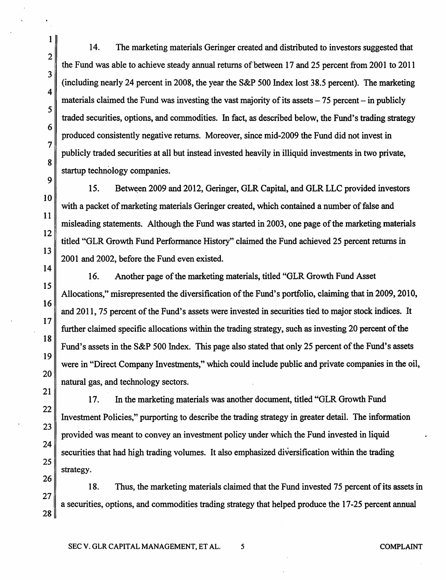14. The marketing materials Geringer created and distributed to investors suggested that the Fund was able to achieve steady annual returns of between 17 and 25 percent from 2001 to 2011 (including nearly 24 percent in 2008, the year the S&P 500 Index lost 38.5 percent). The marketing materials claimed the Fund was investing the vast majority of its assets  $-75$  percent  $-$  in publicly traded securities, options, and commodities. In fact, as described below, the Fund's trading strategy produced consistently negative returns. Moreover, since mid-2009 the Fund did not invest in publicly traded securities at all but instead invested heavily in illiquid investments in two private, startup technology companies.

15. Between 2009 and 2012, Geringer, GLR Capital, and GLR LLC provided investors with a packet of marketing materials Geringer created, which contained a number of false and misleading statements. Although the Fund was started in 2003, one page of the marketing materials titled "GLR Growth Fund Performance History" claimed the Fund achieved 25 percent returns in 2001 and 2002, before the Fund even existed.

16. Another page of the marketing materials, titled "GLR Growth Fund Asset Allocations," misrepresented the diversification of the Fund's portfolio, claiming that in 2009, 2010, and 2011, 75 percent of the Fund's assets were invested in securities tied to major stock indices. It further claimed specific allocations within the trading strategy, such as investing 20 percent of the Fund's assets in the S&P 500 Index. This page also stated that only 25 percent of the Fund's assets were in "Direct Company Investments," which could include public and private companies in the oil, natural gas, and technology sectors.

17. In the marketing materials was another document, titled "GLR Growth Fund Investment Policies," purporting to describe the trading strategy in greater detail. The information provided was meant to convey an investment policy under which the Fund invested in liquid securities that had high trading volumes. It also emphasized diversification within the trading strategy.

26 27 28 18. Thus, the marketing materials claimed that the Fund invested 75 percent of its assets in a securities, options, and commodities trading strategy that helped produce the 17-25 percent annual

 $1<sup>1</sup>$ 

2

3

4

5

6

7

8

9

10

11

12

13

14

15

16

17

18

19

20

21

22

23

24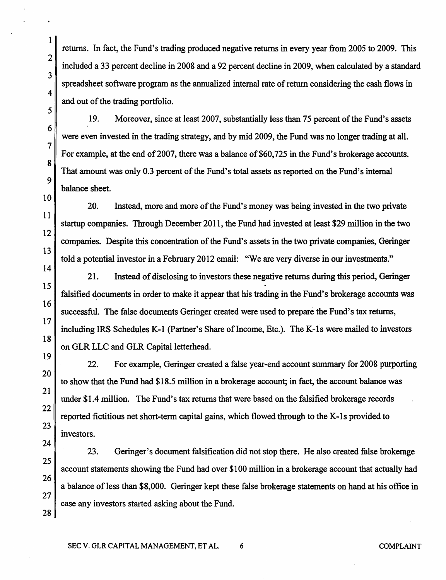returns. In fact, the Fund's trading produced negative returns in every year from 2005 to 2009. This included a 33 percent decline in 2008 and a 92 percent decline in 2009, when calculated by a standard spreadsheet software program as the annualized internal rate of return considering the cash flows in and out of the trading portfolio.

19. Moreover, since at least 2007, substantially less than 75 percent of the Fund's assets were even invested in the trading strategy, and by mid 2009, the Fund was no longer trading at all. For example, at the end of 2007, there was a balance of \$60,725 in the Fund's brokerage accounts. That amount was only 0.3 percent of the Fund's total assets as reported on the Fund's internal balance sheet.

20. Instead, more and more of the Fund's money was being invested in the two private startup companies. Through December 2011, the Fund had invested at least \$29 million in the two companies. Despite this concentration of the Fund's assets in the two private companies, Geringer told a potential investor in a February 2012 email: "We are very diverse in our investments."

21. Instead of disclosing to investors these negative returns during this period, Geringer falsified documents in order to make it appear that his trading in the Fund's brokerage accounts was successful. The false documents Geringer created were used to prepare the Fund's tax returns, including IRS Schedules K-1 (Partner's Share of Income, Etc.). The K-1s were mailed to investors on GLR LLC and GLR Capital letterhead.

22. For example, Geringer created a false year-end account summary for 2008 purporting to show that the Fund had \$18.5 million in a brokerage account; in fact, the account balance was under \$1.4 million. The Fund's tax returns that were based on the falsified brokerage records reported fictitious net short-term capital gains, which flowed through to the K-ls provided to investors.

23. Geringer's document falsification did not stop there. He also created false brokerage account statements showing the Fund had over \$100 million in a brokerage account that actually had a balance of less than \$8,000. Geringer kept these false brokerage statements on hand at his office in case any investors started asking about the Fund.

1

2

3

4

5

6

7

8

9

10

11

12

13

14

15

16

17

18

19

20

21

22

23

24

25

26

27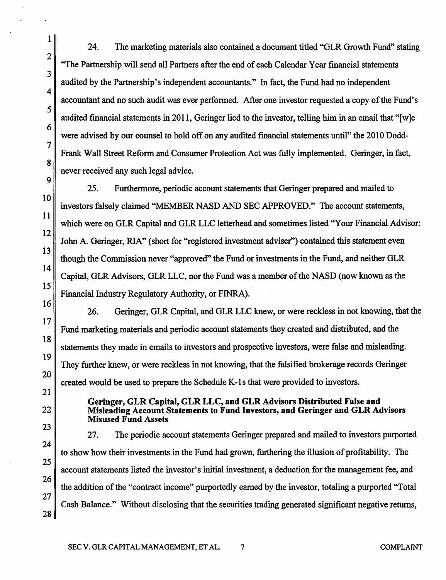24. The marketing materials also contained a document titled "GLR Growth Fund" stating "The Partnership will send all Partners after the end of each Calendar Year financial statements audited by the Partnership's independent accountants." In fact, the Fund had no independent accountant and no such audit was ever performed. After one investor requested a copy ofthe Fund's audited financial statements in 2011, Geringer lied to the investor, telling him in an email that "[w]e were advised by our counsel to hold offon any audited financial statements until" the 2010 Dodd-Frank Wall Street Reform and Consumer Protection Act was fully implemented. Geringer, in fact, never received any such legal advice.

25. Furthermore, periodic account statements that Geringer prepared and mailed to investors falsely claimed "MEMBER NASD AND SEC APPROVED." The account statements, which were on GLR Capital and GLR LLC letterhead and sometimes listed "Your Financial Advisor: John A. Geringer, RIA" (short for "registered investment adviser") contained this statement even though the Commission never "approved" the Fund or investments in the Fund, and neither GLR Capital, GLR Advisors, GLR LLC, nor the Fund was a member ofthe NASD (now known as the Financial Industry Regulatory Authority, or FINRA).

16

1

2

3

4

5

6

7

8

9

10

11

12

13

14

15

17

18

19

20

21

22

23

24

25

26

27

28

26. Geringer, GLR Capital, and GLR LLC knew, or were reckless in not knowing, that the Fund marketing materials and periodic account statements they created and distributed, and the statements they made in emails to investors and prospective investors, were false and misleading. They further knew, or were reckless in not knowing, that the falsified brokerage records Geringer created would be used to prepare the Schedule K -1 s that were provided to investors.

### Geringer, GLR Capital, GLR LLC, and GLR Advisors Distributed False and Misleading Account Statements to Fund Investors, and Geringer and GLR Advisors Misused Fund Assets

27. The periodic account statements Geringer prepared and mailed to investors purported to show how their investments in the Fund had grown, furthering the illusion of profitability. The account statements listed the investor's initial investment, a deduction for the management fee, and the addition of the "contract income" purportedly earned by the investor, totaling a purported "Total" Cash Balance." Without disclosing that the securities trading generated significant negative returns,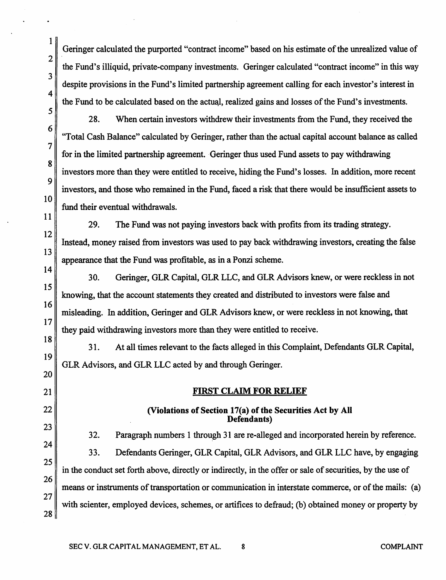Geringer calculated the purported "contract income" based on his estimate of the unrealized value of the Fund's illiquid, private-company investments. Geringer calculated "contract income" in this way despite provisions in the Fund's limited partnership agreement calling for each investor's interest in the Fund to be calculated based on the actual, realized gains and losses of the Fund's investments.

28. When certain investors withdrew their investments from the Fund, they received the "Total Cash Balance" calculated by Geringer, rather than the actual capital account balance as called for in the limited partnership agreement. Geringer thus used Fund assets to pay withdrawing investors more than they were entitled to receive, hiding the Fund's losses. In addition, more recent investors, and those who remained in the Fund, faced a risk that there would be insufficient assets to fund their eventual withdrawals.

29. The Fund was not paying investors back with profits from its trading strategy. Instead, money raised from investors was used to pay back withdrawing investors, creating the false appearance that the Fund was profitable, as in a Ponzi scheme.

30. Geringer, GLR Capital, GLR LLC, and GLR Advisors knew, or were reckless in not knowing, that the account statements they created and distributed to investors were false and misleading. In addition, Geringer and GLR Advisors knew, or were reckless in not knowing, that they paid withdrawing investors more than they were entitled to receive.

31. At all times relevant to the facts alleged in this Complaint, Defendants GLR Capital, GLR Advisors, and GLR LLC acted by and through Geringer.

# FIRST CLAIM FOR RELIEF

# (Violations of Section 17(a) of the Securities Act by All Defendants)

32. Paragraph numbers 1 through 31 are re-alleged and incorporated herein by reference. 33. Defendants Geringer, GLR Capital, GLR Advisors, and GLR LLC have, by engaging in the conduct set forth above, directly or indirectly, in the offer or sale of securities, by the use of

means or instruments of transportation or communication in interstate commerce, or of the mails: (a) with scienter, employed devices, schemes, or artifices to defraud; (b) obtained money or property by

1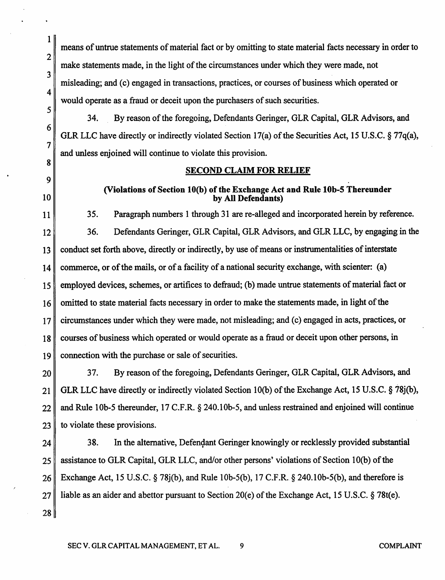means of untrue statements of material fact or by omitting to state material facts necessary in order to make statements made, in the light of the circumstances under which they were made, not misleading; and (c) engaged in transactions, practices, or courses of business which operated or would operate as a fraud or deceit upon the purchasers of such securities.

1

2

3

4

S

6

7

8

9

10

34. By reason ofthe foregoing, Defendants Geringer, GLR Capital, GLR Advisors, and GLR LLC have directly or indirectly violated Section 17(a) of the Securities Act, 15 U.S.C. § 77q(a), and unless enjoined will continue to violate this provision.

#### SECOND CLAIM FOR RELIEF

### (Violations of Section 10(b) of the Exchange Act and Rule 10b-5 Thereunder by All Defendants)

11 12 13 14 15 16 17 18 19 *3S.* Paragraph numbers 1 through 31 are re-alleged and incorporated herein by reference. 36. Defendants Geringer, GLR Capital, GLR Advisors, and GLR LLC, by engaging in the conduct set forth above, directly or indirectly, by use of means or instrumentalities of interstate commerce, or of the mails, or of a facility of a national security exchange, with scienter: (a) employed devices, schemes, or artifices to defraud; (b) made untrue statements of material fact or omitted to state material facts necessary in order to make the statements made, in light of the circumstances under which they were made, not misleading; and ( c) engaged in acts, practices, or courses of business which operated or would operate as a fraud or deceit upon other persons, in connection with the purchase or sale of securities.

20 21 22 23 37. By reason of the foregoing, Defendants Geringer, GLR Capital, GLR Advisors, and GLR LLC have directly or indirectly violated Section 10(b) of the Exchange Act, 15 U.S.C.  $\S$  78j(b), and Rule 10b-5 thereunder, 17 C.F .R. § 240.1 Ob-S, and unless restrained and enjoined will continue to violate these provisions.

24 25 26 27 28 38. In the alternative, Defendant Geringer knowingly or recklessly provided substantial assistance to GLR Capital, GLR LLC, and/or other persons' violations of Section 10(b) ofthe Exchange Act, IS U.S.C. § 78j(b), and Rule 10h-S(b), 17 C.F.R.§ 240.l0b-5(b), and therefore is liable as an aider and abettor pursuant to Section 20(e) of the Exchange Act, 15 U.S.C.  $\S$  78t(e).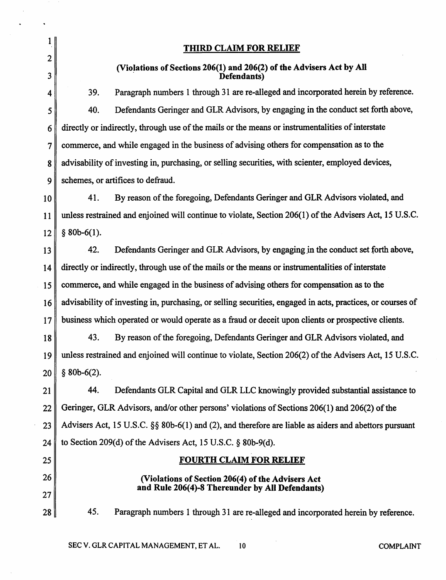25

26

27

28

# THIRD CLAIM FOR RELIEF

# (Violations of Sections 206(1) and 206(2) of the Advisers Act by All Defendants)

39. Paragraph numbers 1 through 31 are re-alleged and incorporated herein by reference. 40. Defendants Geringer and GLR Advisors, by engaging in the conduct set forth above, directly or indirectly, through use of the mails or the means or instrumentalities of interstate commerce, and while engaged in the business of advising others for compensation as to the advisability of investing in, purchasing, or selling securities, with scienter, employed devices, schemes, or artifices to defraud.

41. By reason ofthe foregoing, Defendants Geringer and GLR Advisors violated, and unless restrained and enjoined will continue to violate, Section 206(1) of the Advisers Act, 15 U.S.C.  $§$  80b-6(1).

42. Defendants Geringer and GLR Advisors, by engaging in the conduct set forth above, directly or indirectly, through use of the mails or the means or instrumentalities of interstate commerce, and while engaged in the business of advising others for compensation as to the advisability of investing in, purchasing, or selling securities, engaged in acts, practices, or courses of business which operated or would operate as a fraud or deceit upon clients or prospective clients.

43. By reason ofthe foregoing, Defendants Geringer and GLR Advisors violated, and unless restrained and enjoined will continue to violate, Section 206(2) of the Advisers Act, 15 U.S.C. § 80b-6(2).

22 23 24 44. Defendants GLR Capital and GLR LLC knowingly provided substantial assistance to Geringer, GLR Advisors, and/or other persons' violations of Sections 206(1) and 206(2) of the Advisers Act, 15 U.S.C. §§ 80b-6(1) and (2), and therefore are liable as aiders and abettors pursuant to Section 209(d) of the Advisers Act, 15 U.S.C.  $\S$  80b-9(d).

# FOURTH CLAIM FOR RELIEF

# (Violations of Section 206(4) of the Advisers Act and Rule 206(4)-8 Thereunder by All Defendants)

45. Paragraph numbers 1 through 31 are re-alleged and incorporated herein by reference.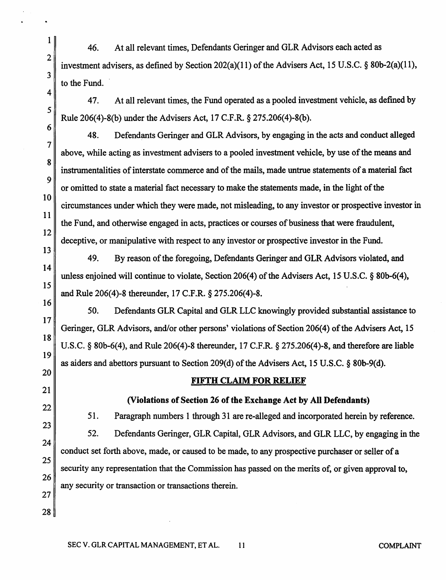46. At all relevant times, Defendants Geringer and GLR Advisors each acted as investment advisers, as defined by Section 202(a)(11) of the Advisers Act, 15 U.S.C. § 80b-2(a)(11), to the Fund.

47. At all relevant times, the Fund operated as a pooled investment vehicle, as defined by Rule 206(4)-8(b) under the Advisers Act, 17 C.F.R. § 275.206(4)-8(b).

48. Defendants Geringer and GLR Advisors, by engaging in the acts and conduct alleged above, while acting as investment advisers to a pooled investment vehicle, by use ofthe means and instrumentalities of interstate commerce and of the mails, made untrue statements of a material fact or omitted to state a material fact necessary to make the statements made, in the light ofthe circumstances under which they were made, not misleading, to any investor or prospective investor in the Fund, and otherwise engaged in acts, practices or courses of business that were fraudulent, deceptive, or manipulative with respect to any investor or prospective investor in the Fund.

49. By reason of the foregoing, Defendants Geringer and GLR Advisors violated, and unless enjoined will continue to violate, Section  $206(4)$  of the Advisers Act, 15 U.S.C. § 80b-6(4), and Rule 206(4)-8 thereunder, 17 C.F.R. § 275.206(4)-8.

50. Defendants GLR Capital and GLR LLC knowingly provided substantial assistance to Geringer, GLR Advisors, and/or other persons' violations of Section 206(4) of the Advisers Act, 15 U.S.C. § 80b-6(4), and Rule 206(4)-8 thereunder, 17 C.F.R. § 275.206(4)-8, and therefore are liable as aiders and abettors pursuant to Section 209(d) of the Advisers Act, 15 U.S.C. § 80b-9(d).

# FIFTH CLAIM FOR RELIEF

(Violations of Section 26 of the Exchange Act by All Defendants)

51. Paragraph numbers 1 through 31 are re-alleged and incorporated herein by reference. 52. Defendants Geringer, GLR Capital, GLR Advisors, and GLR LLC, by engaging in the conduct set forth above, made, or caused to be made, to any prospective purchaser or seller of a security any representation that the Commission has passed on the merits of, or given approval to, any security or transaction or transactions therein.

1

2

3

4

5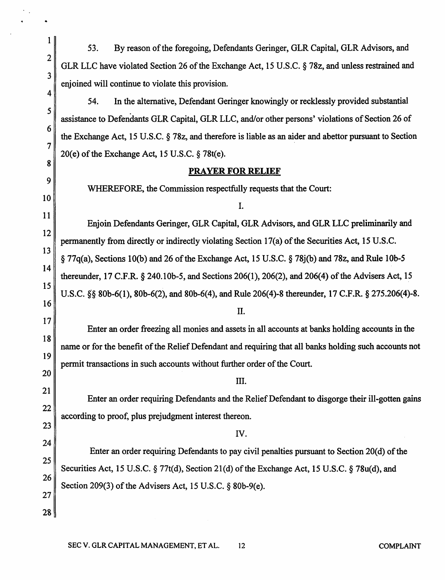53. By reason of the foregoing, Defendants Geringer, GLR Capital, GLR Advisors, and GLR LLC have violated Section 26 of the Exchange Act, 15 U.S.C. § 78z, and unless restrained and enioined will continue to violate this provision.

54. In the alternative, Defendant Geringer knowingly or recklessly provided substantial assistance to Defendants GLR Capital, GLR LLC, and/or other persons' violations of Section 26 of the Exchange Act, 15 U.S.C. § 78z, and therefore is liable as an aider and abettor pursuant to Section 20(e) of the Exchange Act, 15 U.S.C.  $\S$  78t(e).

#### PRAYER FOR RELIEF

WHEREFORE, the Commission respectfully requests that the Court:

1

2

3

4

5

7

6

8

9

10

11

12

13

14

15

16

17

18

19

20

21

22

23

24

25

26

27

28

I.

Enjoin Defendants Geringer, GLR Capital, GLR Advisors, and GLR LLC preliminarily and permanently from directly or indirectly violating Section 17(a) of the Securities Act, 15 U.S.C. § 77q(a), Sections 10(b) and 26 ofthe Exchange Act, 15 U.S.C. § 7Sj(b) and 7Sz, and Rule 10b-5 thereunder, 17 C.F.R. § 240.10b-5, and Sections 206(1), 206(2), and 206(4) of the Advisers Act, 15 U.S.C. §'§ SOb-6(1), SOb-6(2), and SOb-6(4), and Rule 206(4)-S thereunder, 17 C.F.R. § 275.206(4)-8.

II.

Enter an order freezing all monies and assets in all accounts at banks holding accounts in the name or for the benefit of the Relief Defendant and requiring that all banks holding such accounts not permit transactions in such accounts without further order of the Court.

III.

Enter an order requiring Defendants and the Relief Defendant to disgorge their ill-gotten gains according to proof, plus prejudgment interest thereon.

IV.

Enter an order requiring Defendants to pay civil penalties pursuant to Section 20(d) of the Securities Act, 15 U.S.C. § 77t(d), Section 21(d) of the Exchange Act, 15 U.S.C. § 78u(d), and Section 209(3) of the Advisers Act, 15 U.S.C. § 80b-9(e).